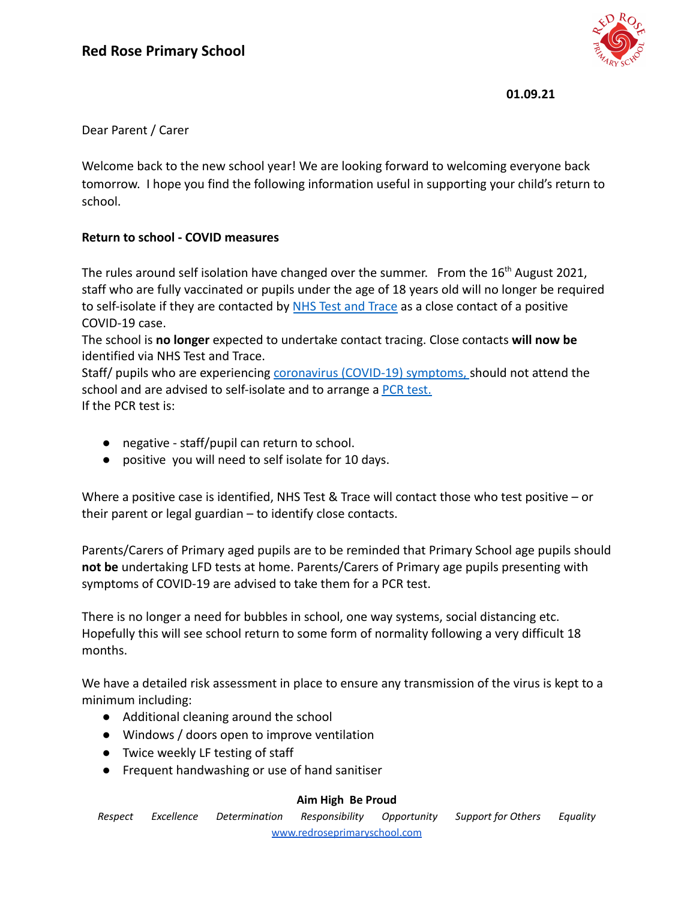

**01.09.21**

## Dear Parent / Carer

Welcome back to the new school year! We are looking forward to welcoming everyone back tomorrow. I hope you find the following information useful in supporting your child's return to school.

## **Return to school - COVID measures**

The rules around self isolation have changed over the summer. From the 16<sup>th</sup> August 2021, staff who are fully vaccinated or pupils under the age of 18 years old will no longer be required to self-isolate if they are contacted by NHS Test [and Trace](https://www.nhs.uk/conditions/coronavirus-covid-19/testing/test-results/) as a close contact of a positive COVID-19 case.

The school is **no longer** expected to undertake contact tracing. Close contacts **will now be** identified via NHS Test and Trace.

Staff/ pupils who are experiencing [coronavirus \(COVID-19\)](https://www.nhs.uk/conditions/coronavirus-covid-19/symptoms/) symptoms, should not attend the [school](https://www.nhs.uk/conditions/coronavirus-covid-19/symptoms/) and are advised to self-isolate and to arrange a [PCR test.](https://www.gov.uk/get-coronavirus-test) If the PCR test is:

- negative staff/pupil can return to school.
- positive you will need to self isolate for 10 days.

Where a positive case is identified, NHS Test & Trace will contact those who test positive – or their parent or legal guardian – to identify close contacts.

Parents/Carers of Primary aged pupils are to be reminded that Primary School age pupils should **not be** undertaking LFD tests at home. Parents/Carers of Primary age pupils presenting with symptoms of COVID-19 are advised to take them for a PCR test.

There is no longer a need for bubbles in school, one way systems, social distancing etc. Hopefully this will see school return to some form of normality following a very difficult 18 months.

We have a detailed risk assessment in place to ensure any transmission of the virus is kept to a minimum including:

- Additional cleaning around the school
- Windows / doors open to improve ventilation
- Twice weekly LF testing of staff
- Frequent handwashing or use of hand sanitiser

## **Aim High Be Proud**

*Respect Excellence Determination Responsibility Opportunity Support for Others Equality* [www.redroseprimaryschool.com](http://www.redroseprimaryschool.com)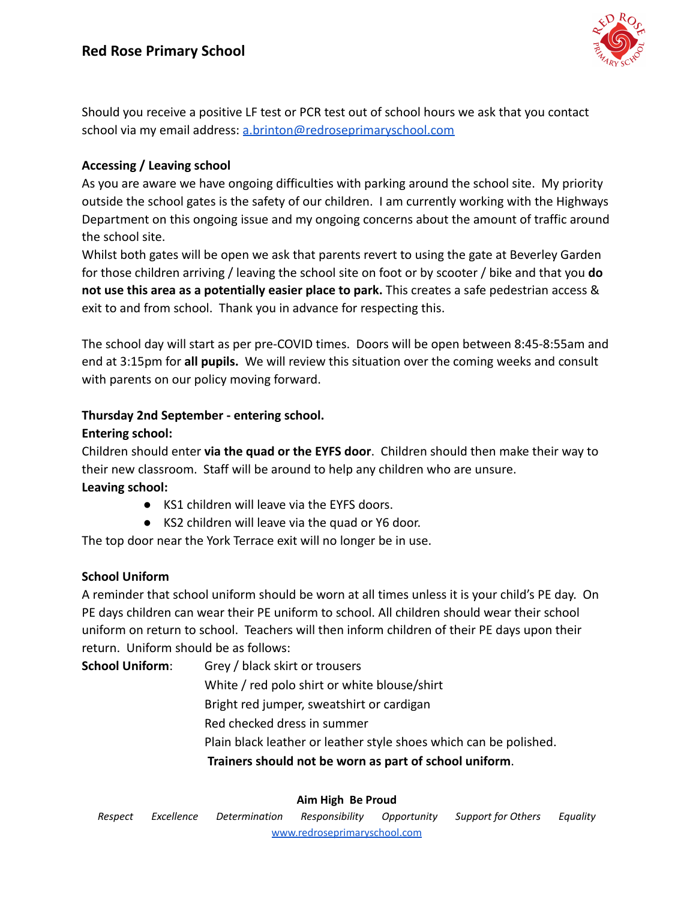

Should you receive a positive LF test or PCR test out of school hours we ask that you contact school via my email address: [a.brinton@redroseprimaryschool.com](mailto:a.brinton@redroseprimaryschool.com)

## **Accessing / Leaving school**

As you are aware we have ongoing difficulties with parking around the school site. My priority outside the school gates is the safety of our children. I am currently working with the Highways Department on this ongoing issue and my ongoing concerns about the amount of traffic around the school site.

Whilst both gates will be open we ask that parents revert to using the gate at Beverley Garden for those children arriving / leaving the school site on foot or by scooter / bike and that you **do not use this area as a potentially easier place to park.** This creates a safe pedestrian access & exit to and from school. Thank you in advance for respecting this.

The school day will start as per pre-COVID times. Doors will be open between 8:45-8:55am and end at 3:15pm for **all pupils.** We will review this situation over the coming weeks and consult with parents on our policy moving forward.

## **Thursday 2nd September - entering school.**

## **Entering school:**

Children should enter **via the quad or the EYFS door**. Children should then make their way to their new classroom. Staff will be around to help any children who are unsure. **Leaving school:**

- KS1 children will leave via the EYFS doors.
- KS2 children will leave via the quad or Y6 door.

The top door near the York Terrace exit will no longer be in use.

# **School Uniform**

A reminder that school uniform should be worn at all times unless it is your child's PE day. On PE days children can wear their PE uniform to school. All children should wear their school uniform on return to school. Teachers will then inform children of their PE days upon their return. Uniform should be as follows:

**School Uniform**: Grey / black skirt or trousers White / red polo shirt or white blouse/shirt Bright red jumper, sweatshirt or cardigan Red checked dress in summer Plain black leather or leather style shoes which can be polished. **Trainers should not be worn as part of school uniform**.

## **Aim High Be Proud**